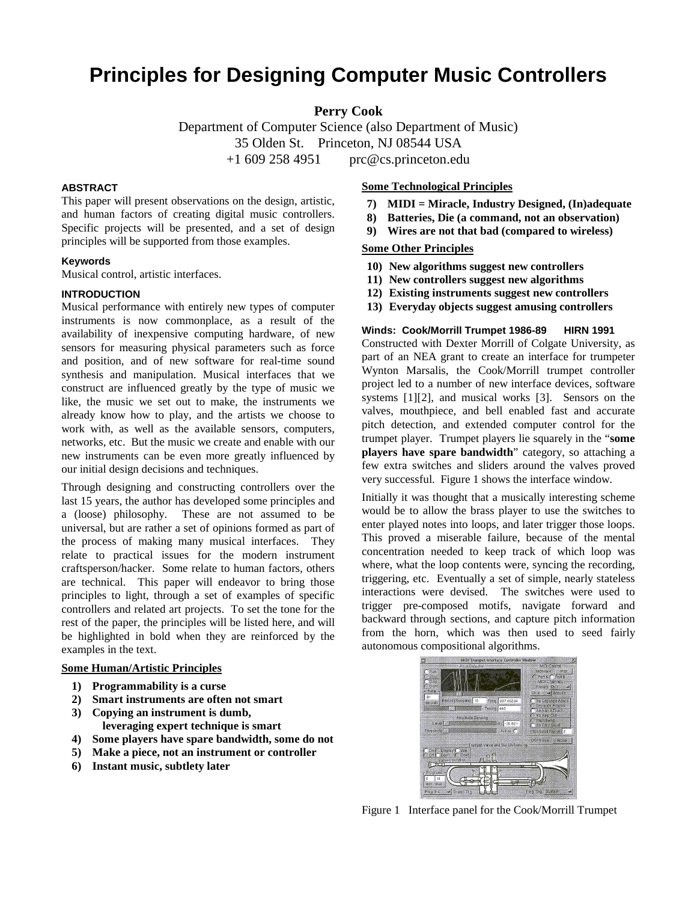# **Principles for Designing Computer Music Controllers**

**Perry Cook**

Department of Computer Science (also Department of Music) 35 Olden St. Princeton, NJ 08544 USA  $+1$  609 258 4951 prc@cs.princeton.edu

## **ABSTRACT**

This paper will present observations on the design, artistic, and human factors of creating digital music controllers. Specific projects will be presented, and a set of design principles will be supported from those examples.

## **Keywords**

Musical control, artistic interfaces.

## **INTRODUCTION**

Musical performance with entirely new types of computer instruments is now commonplace, as a result of the availability of inexpensive computing hardware, of new sensors for measuring physical parameters such as force and position, and of new software for real-time sound synthesis and manipulation. Musical interfaces that we construct are influenced greatly by the type of music we like, the music we set out to make, the instruments we already know how to play, and the artists we choose to work with, as well as the available sensors, computers, networks, etc. But the music we create and enable with our new instruments can be even more greatly influenced by our initial design decisions and techniques.

Through designing and constructing controllers over the last 15 years, the author has developed some principles and a (loose) philosophy. These are not assumed to be universal, but are rather a set of opinions formed as part of the process of making many musical interfaces. They relate to practical issues for the modern instrument craftsperson/hacker. Some relate to human factors, others are technical. This paper will endeavor to bring those principles to light, through a set of examples of specific controllers and related art projects. To set the tone for the rest of the paper, the principles will be listed here, and will be highlighted in bold when they are reinforced by the examples in the text.

## **Some Human/Artistic Principles**

- **1) Programmability is a curse**
- **2) Smart instruments are often not smart**
- **3) Copying an instrument is dumb, leveraging expert technique is smart**
- **4) Some players have spare bandwidth, some do not**
- **5) Make a piece, not an instrument or controller**
- **6) Instant music, subtlety later**

## **Some Technological Principles**

- **7) MIDI = Miracle, Industry Designed, (In)adequate**
- **8) Batteries, Die (a command, not an observation)**
- **9) Wires are not that bad (compared to wireless)**

## **Some Other Principles**

- **10) New algorithms suggest new controllers**
- **11) New controllers suggest new algorithms**
- **12) Existing instruments suggest new controllers**
- **13) Everyday objects suggest amusing controllers**

## Winds: Cook/Morrill Trumpet 1986-89 HIRN 1991

Constructed with Dexter Morrill of Colgate University, as part of an NEA grant to create an interface for trumpeter Wynton Marsalis, the Cook/Morrill trumpet controller project led to a number of new interface devices, software systems [1][2], and musical works [3]. Sensors on the valves, mouthpiece, and bell enabled fast and accurate pitch detection, and extended computer control for the trumpet player. Trumpet players lie squarely in the "**some players have spare bandwidth**" category, so attaching a few extra switches and sliders around the valves proved very successful. Figure 1 shows the interface window.

Initially it was thought that a musically interesting scheme would be to allow the brass player to use the switches to enter played notes into loops, and later trigger those loops. This proved a miserable failure, because of the mental concentration needed to keep track of which loop was where, what the loop contents were, syncing the recording, triggering, etc. Eventually a set of simple, nearly stateless interactions were devised. The switches were used to trigger pre-composed motifs, navigate forward and backward through sections, and capture pitch information from the horn, which was then used to seed fairly autonomous compositional algorithms.



Figure 1 Interface panel for the Cook/Morrill Trumpet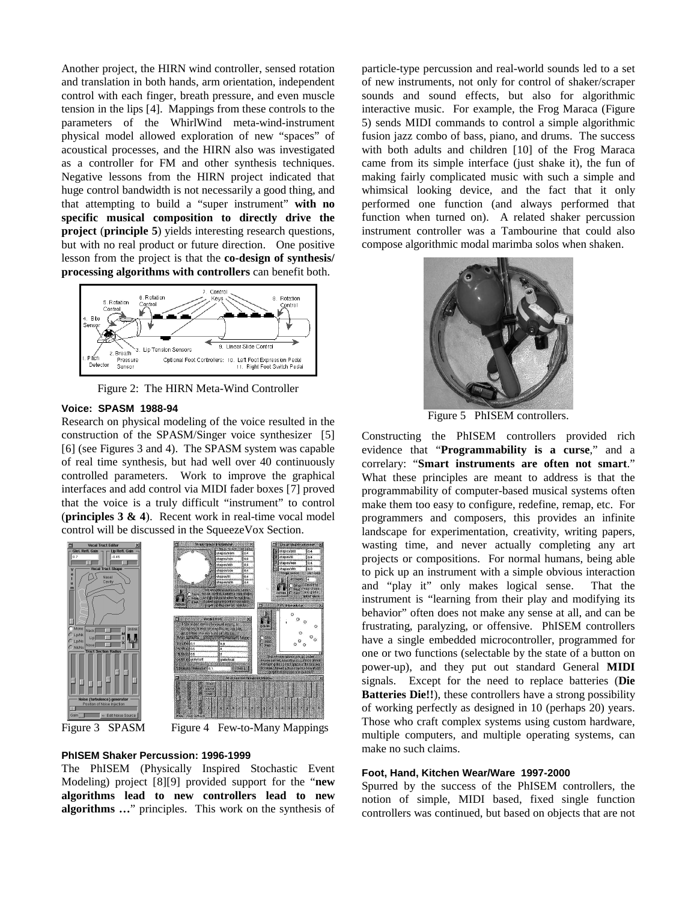Another project, the HIRN wind controller, sensed rotation and translation in both hands, arm orientation, independent control with each finger, breath pressure, and even muscle tension in the lips [4]. Mappings from these controls to the parameters of the WhirlWind meta-wind-instrument physical model allowed exploration of new "spaces" of acoustical processes, and the HIRN also was investigated as a controller for FM and other synthesis techniques. Negative lessons from the HIRN project indicated that huge control bandwidth is not necessarily a good thing, and that attempting to build a "super instrument" **with no specific musical composition to directly drive the project** (**principle 5**) yields interesting research questions, but with no real product or future direction. One positive lesson from the project is that the **co-design of synthesis/ processing algorithms with controllers** can benefit both.



Figure 2: The HIRN Meta-Wind Controller

#### **Voice: SPASM 1988-94**

Research on physical modeling of the voice resulted in the construction of the SPASM/Singer voice synthesizer [5] [6] (see Figures 3 and 4). The SPASM system was capable of real time synthesis, but had well over 40 continuously controlled parameters. Work to improve the graphical interfaces and add control via MIDI fader boxes [7] proved that the voice is a truly difficult "instrument" to control (**principles 3 & 4**). Recent work in real-time vocal model control will be discussed in the SqueezeVox Section.







Figure 4 Few-to-Many Mappings

#### **PhISEM Shaker Percussion: 1996-1999**

The PhISEM (Physically Inspired Stochastic Event Modeling) project [8][9] provided support for the "**new algorithms lead to new controllers lead to new algorithms …**" principles. This work on the synthesis of particle-type percussion and real-world sounds led to a set of new instruments, not only for control of shaker/scraper sounds and sound effects, but also for algorithmic interactive music. For example, the Frog Maraca (Figure 5) sends MIDI commands to control a simple algorithmic fusion jazz combo of bass, piano, and drums. The success with both adults and children [10] of the Frog Maraca came from its simple interface (just shake it), the fun of making fairly complicated music with such a simple and whimsical looking device, and the fact that it only performed one function (and always performed that function when turned on). A related shaker percussion instrument controller was a Tambourine that could also compose algorithmic modal marimba solos when shaken.



Figure 5 PhISEM controllers.

Constructing the PhISEM controllers provided rich evidence that "**Programmability is a curse**," and a correlary: "**Smart instruments are often not smart**." What these principles are meant to address is that the programmability of computer-based musical systems often make them too easy to configure, redefine, remap, etc. For programmers and composers, this provides an infinite landscape for experimentation, creativity, writing papers, wasting time, and never actually completing any art projects or compositions. For normal humans, being able to pick up an instrument with a simple obvious interaction and "play it" only makes logical sense. That the instrument is "learning from their play and modifying its behavior" often does not make any sense at all, and can be frustrating, paralyzing, or offensive. PhISEM controllers have a single embedded microcontroller, programmed for one or two functions (selectable by the state of a button on power-up), and they put out standard General **MIDI** signals. Except for the need to replace batteries (**Die Batteries Die!!**), these controllers have a strong possibility of working perfectly as designed in 10 (perhaps 20) years. Those who craft complex systems using custom hardware, multiple computers, and multiple operating systems, can make no such claims.

#### **Foot, Hand, Kitchen Wear/Ware 1997-2000**

Spurred by the success of the PhISEM controllers, the notion of simple, MIDI based, fixed single function controllers was continued, but based on objects that are not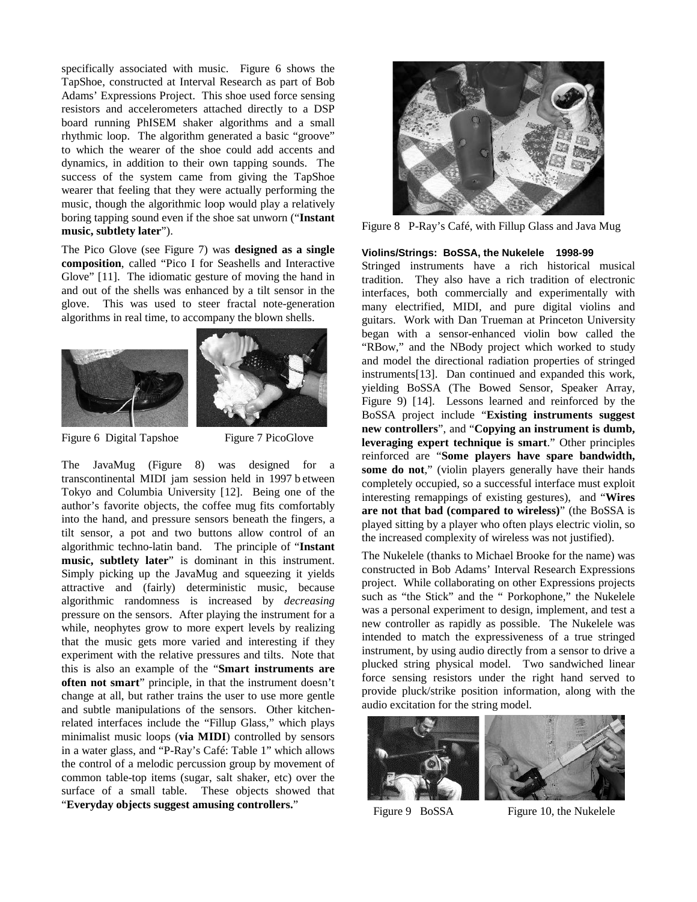specifically associated with music. Figure 6 shows the TapShoe, constructed at Interval Research as part of Bob Adams' Expressions Project. This shoe used force sensing resistors and accelerometers attached directly to a DSP board running PhISEM shaker algorithms and a small rhythmic loop. The algorithm generated a basic "groove" to which the wearer of the shoe could add accents and dynamics, in addition to their own tapping sounds. The success of the system came from giving the TapShoe wearer that feeling that they were actually performing the music, though the algorithmic loop would play a relatively boring tapping sound even if the shoe sat unworn ("**Instant music, subtlety later**").

The Pico Glove (see Figure 7) was **designed as a single composition**, called "Pico I for Seashells and Interactive Glove" [11]. The idiomatic gesture of moving the hand in and out of the shells was enhanced by a tilt sensor in the glove. This was used to steer fractal note-generation algorithms in real time, to accompany the blown shells.





Figure 6 Digital Tapshoe Figure 7 PicoGlove

The JavaMug (Figure 8) was designed for a transcontinental MIDI jam session held in 1997 b etween Tokyo and Columbia University [12]. Being one of the author's favorite objects, the coffee mug fits comfortably into the hand, and pressure sensors beneath the fingers, a tilt sensor, a pot and two buttons allow control of an algorithmic techno-latin band. The principle of "**Instant music, subtlety later**" is dominant in this instrument. Simply picking up the JavaMug and squeezing it yields attractive and (fairly) deterministic music, because algorithmic randomness is increased by *decreasing* pressure on the sensors. After playing the instrument for a while, neophytes grow to more expert levels by realizing that the music gets more varied and interesting if they experiment with the relative pressures and tilts. Note that this is also an example of the "**Smart instruments are often not smart**" principle, in that the instrument doesn't change at all, but rather trains the user to use more gentle and subtle manipulations of the sensors. Other kitchenrelated interfaces include the "Fillup Glass," which plays minimalist music loops (**via MIDI**) controlled by sensors in a water glass, and "P-Ray's Café: Table 1" which allows the control of a melodic percussion group by movement of common table-top items (sugar, salt shaker, etc) over the surface of a small table. These objects showed that "**Everyday objects suggest amusing controllers.**"



Figure 8 P-Ray's Café, with Fillup Glass and Java Mug

## **Violins/Strings: BoSSA, the Nukelele 1998-99**

Stringed instruments have a rich historical musical tradition. They also have a rich tradition of electronic interfaces, both commercially and experimentally with many electrified, MIDI, and pure digital violins and guitars. Work with Dan Trueman at Princeton University began with a sensor-enhanced violin bow called the "RBow," and the NBody project which worked to study and model the directional radiation properties of stringed instruments[13]. Dan continued and expanded this work, yielding BoSSA (The Bowed Sensor, Speaker Array, Figure 9) [14]. Lessons learned and reinforced by the BoSSA project include "**Existing instruments suggest new controllers**", and "**Copying an instrument is dumb, leveraging expert technique is smart**." Other principles reinforced are "**Some players have spare bandwidth,**  some do not," (violin players generally have their hands completely occupied, so a successful interface must exploit interesting remappings of existing gestures), and "**Wires are not that bad (compared to wireless)**" (the BoSSA is played sitting by a player who often plays electric violin, so the increased complexity of wireless was not justified).

The Nukelele (thanks to Michael Brooke for the name) was constructed in Bob Adams' Interval Research Expressions project. While collaborating on other Expressions projects such as "the Stick" and the " Porkophone," the Nukelele was a personal experiment to design, implement, and test a new controller as rapidly as possible. The Nukelele was intended to match the expressiveness of a true stringed instrument, by using audio directly from a sensor to drive a plucked string physical model. Two sandwiched linear force sensing resistors under the right hand served to provide pluck/strike position information, along with the audio excitation for the string model.



Figure 9 BoSSA Figure 10, the Nukelele